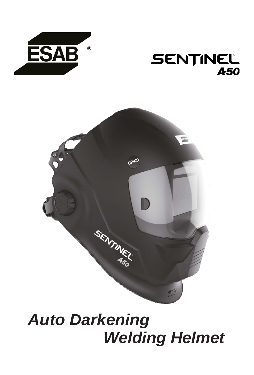

## **SENTINEL A50**



# *Auto Darkening Welding Helmet*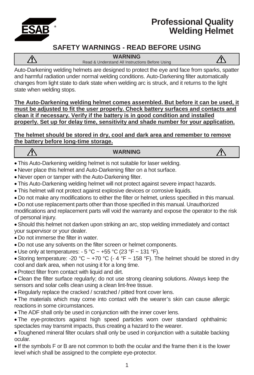

 $\bigwedge$ 

## **Professional Quality Welding Helmet**

### **SAFETY WARNINGS - READ BEFORE USING**

**WARNING**



Read & Understand All Instructions Before Using

Auto-Darkening welding helmets are designed to protect the eye and face from sparks, spatter and harmful radiation under normal welding conditions. Auto-Darkening filter automatically changes from light state to dark state when welding arc is struck, and it returns to the light state when welding stops.

**The Auto-Darkening welding helmet comes assembled. But before it can be used, it must be adjusted to fit the user properly. Check battery surfaces and contacts and clean it if necessary. Verify if the battery is in good condition and installed properly. Set up for delay time, sensitivity and shade number for your application.**

**The helmet should be stored in dry, cool and dark area and remember to remove the battery before long-time storage.**

#### **WARNING**

- This Auto-Darkening welding helmet is not suitable for laser welding.
- Never place this helmet and Auto-Darkening filter on a hot surface.
- Never open or tamper with the Auto-Darkening filter.
- This Auto-Darkening welding helmet will not protect against severe impact hazards.
- This helmet will not protect against explosive devices or corrosive liquids.
- Do not make any modifications to either the filter or helmet, unless specified in this manual.
- Do not use replacement parts other than those specified in this manual. Unauthorized modifications and replacement parts will void the warranty and expose the operator to the risk of personal injury.
- Should this helmet not darken upon striking an arc, stop welding immediately and contact your supervisor or your dealer.
- Do not immerse the filter in water.
- Do not use any solvents on the filter screen or helmet components.
- Use only at temperatures:  $-5$  °C  $\sim$  +55 °C (23 °F  $\sim$  131 °F).
- Storing temperature: -20 °C ~ +70 °C (- 4 °F ~ 158 °F). The helmet should be stored in dry cool and dark area, when not using it for a long time.
- Protect filter from contact with liquid and dirt.
- Clean the filter surface regularly; do not use strong cleaning solutions. Always keep the sensors and solar cells clean using a clean lint-free tissue.
- Regularly replace the cracked / scratched / pitted front cover lens.
- The materials which may come into contact with the wearer's skin can cause allergic reactions in some circumstances.
- The ADF shall only be used in conjunction with the inner cover lens.
- The eye-protectors against high speed particles worn over standard ophthalmic spectacles may transmit impacts, thus creating a hazard to the wearer.
- Toughened mineral filter oculars shall only be used in conjunction with a suitable backing ocular.
- If the symbols F or B are not common to both the ocular and the frame then it is the lower level which shall be assigned to the complete eye-protector.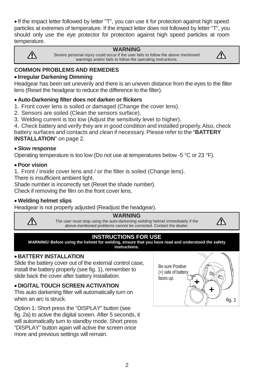• If the impact letter followed by letter "T", you can use it for protection against high speed particles at extremes of temperature. If the impact letter does not followed by letter "T", you should only use the eye protector for protection against high speed particles at room temperature.



#### **WARNING**

Severe personal injury could occur if the user fails to follow the above mentioned warnings and/or fails to follow the operating instructions.



## **COMMON PROBLEMS AND REMEDIES**

#### • **Irregular Darkening Dimming**

Headgear has been set unevenly and there is an uneven distance from the eyes to the filter lens (Reset the headgear to reduce the difference to the filter).

#### • **Auto-Darkening filter does not darken or flickers**

- 1. Front cover lens is soiled or damaged (Change the cover lens).
- 2. Sensors are soiled (Clean the sensors surface).
- 3. Welding current is too low (Adjust the sensitivity level to higher).
- 4. Check battery and verify they are in good condition and installed properly.Also, check

battery surfaces and contacts and clean if necessary. Please refer to the "**BATTERY INSTALLATION**" on page [2.](#page-2-0)

#### • **Slow response**

Operating temperature is too low (Do not use at temperatures below -5 °C or 23 °F).

#### • **Poor vision**

∕Ւ

1. Front / inside cover lens and / or the filter is soiled (Change lens).

There is insufficient ambient light.

Shade number is incorrectly set (Reset the shade number).

Check if removing the film on the front cover lens.

#### • **Welding helmet slips**

Headgear is not properly adjusted (Readjust the headgear).



The user must stop using the auto-darkening welding helmet immediately if the above-mentioned problems cannot be corrected. Contact the dealer.

∕Ւ

#### **INSTRUCTIONS FOR USE**

**WARNING! Before using the helmet for welding, ensure that you have read and understood the safety instructions.**

#### <span id="page-2-0"></span>• **BATTERY INSTALLATION**

Slide the battery cover out of the external control case, install the battery properly (see fig. 1), remember to slide back the cover after battery installation.

#### • **DIGITAL TOUCH SCREEN ACTIVATION**

This auto darkening filter will automatically turn on when an arc is struck.

Option 1: Short press the "DISPLAY" button (see fig. 2a) to active the digital screen. After 5 seconds, it will automatically turn to standby mode. Short press "DISPLAY" button again will active the screen once more and previous settings will remain.

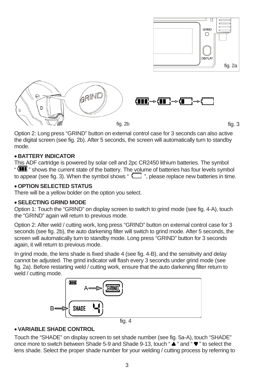

Option 2: Long press "GRIND" button on external control case for 3 seconds can also active the digital screen (see fig. 2b). After 5 seconds, the screen will automatically turn to standby mode.

#### • **BATTERY INDICATOR**

This ADF cartridge is powered by solar cell and 2pc CR2450 lithium batteries. The symbol " **III** " shows the current state of the battery. The volume of batteries has four levels symbol to appear (see fig. 3). When the symbol shows " $\Box$ ", please replace new batteries in time.

#### • **OPTION SELECTED STATUS**

There will be a yellow bolder on the option you select.

#### • **SELECTING GRIND MODE**

Option 1: Touch the "GRIND" on display screen to switch to grind mode (see fig. 4-A), touch the "GRIND" again will return to previous mode.

Option 2: After weld / cutting work, long press "GRIND" button on external control case for 3 seconds (see fig. 2b), the auto darkening filter will switch to grind mode. After 5 seconds, the screen will automatically turn to standby mode. Long press "GRIND" button for 3 seconds again, it will return to previous mode.

In grind mode, the lens shade is fixed shade 4 (see fig. 4-B), and the sensitivity and delay cannot be adjusted. The grind indicator will flash every 3 seconds under grind mode (see fig. 2a). Before restarting weld / cutting work, ensure that the auto darkening filter return to weld / cutting mode.



fig. 4

#### • **VARIABLE SHADE CONTROL**

Touch the "SHADE" on display screen to set shade number (see fig. 5a-A), touch "SHADE" once more to switch between Shade 5-9 and Shade 9-13, touch " $\blacktriangle$ " and " $\blacktriangledown$ " to select the lens shade. Select the proper shade number for your welding / cutting process by referring to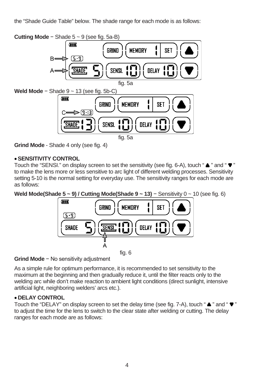the "Shade Guide Table" below. The shade range for each mode is as follows:

**Cutting Mode** − Shade 5 ~ 9 (see fig. 5a-B)



**Grind Mode** - Shade 4 only (see fig. 4)

#### • **SENSITIVITY CONTROL**

Touch the "SENSI." on display screen to set the sensitivity (see fig. 6-A), touch " $\blacktriangle$ " and " $\blacktriangledown$ " to make the lens more or less sensitive to arc light of different welding processes. Sensitivity setting 5-10 is the normal setting for everyday use. The sensitivity ranges for each mode are as follows:

**Weld Mode(Shade 5 ~ 9) / Cutting Mode(Shade 9 ~ 13)** − Sensitivity 0 ~ 10 (see fig. 6)



**Grind Mode** − No sensitivity adjustment

As a simple rule for optimum performance, it is recommended to set sensitivity to the maximum at the beginning and then gradually reduce it, until the filter reacts only to the welding arc while don't make reaction to ambient light conditions (direct sunlight, intensive artificial light, neighboring welders' arcs etc.).

#### • **DELAY CONTROL**

Touch the "DELAY" on display screen to set the delay time (see fig. 7-A), touch " $\blacktriangle$ " and " $\nabla$ " to adjust the time for the lens to switch to the clear state after welding or cutting. The delay ranges for each mode are as follows: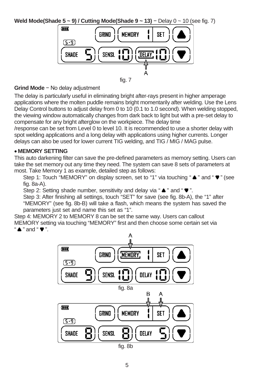**Weld Mode(Shade 5 ~ 9) / Cutting Mode(Shade 9 ~ 13)** – Delay 0 ~ 10 (see fig. 7)



fig. 7

#### **Grind Mode** − No delay adjustment

The delay is particularly useful in eliminating bright after-rays present in higher amperage applications where the molten puddle remains bright momentarily after welding. Use the Lens Delay Control buttons to adjust delay from 0 to 10 (0.1 to 1.0 second). When welding stopped, the viewing window automatically changes from dark back to light but with a pre-set delay to compensate for any bright afterglow on the workpiece. The delay time

/response can be set from Level 0 to level 10. It is recommended to use a shorter delay with spot welding applications and a long delay with applications using higher currents. Longer delays can also be used for lower current TIG welding, and TIG / MIG / MAG pulse.

#### • **MEMORY SETTING**

This auto darkening filter can save the pre-defined parameters as memory setting. Users can take the set memory out any time they need. The system can save 8 sets of parameters at most. Take Memory 1 as example, detailed step as follows:

Step 1: Touch "MEMORY" on display screen, set to "1" via touching " $\blacktriangle$ " and " $\nabla$ " (see fig. 8a-A).

Step 2: Setting shade number, sensitivity and delay via " $\blacktriangle$ " and " $\nabla$ ".

Step 3: After finishing all settings, touch "SET" for save (see fig. 8b-A), the "1" after "MEMORY" (see fig. 8b-B) will take a flash, which means the system has saved the parameters just set and name this set as "1".

Step 4: MEMORY 2 to MEMORY 8 can be set the same way. Users can callout MEMORY setting via touching "MEMORY" first and then choose some certain set via " $\blacktriangle$  " and " $\blacktriangledown$  ".



fig. 8b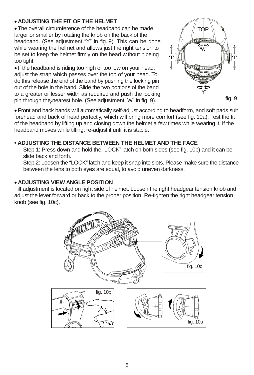#### • **ADJUSTING THE FIT OF THE HELMET**

• The overall circumference of the headband can be made larger or smaller by rotating the knob on the back of the headband. (See adjustment "Y" in fig. 9). This can be done while wearing the helmet and allows just the right tension to be set to keep the helmet firmly on the head without it being too tight.

• If the headband is riding too high or too low on your head, adjust the strap which passes over the top of your head. To do this release the end of the band by pushing the locking pin out of the hole in the band. Slide the two portions of the band to a greater or lesser width as required and push the locking pin through the nearest hole. (See adjustment "W" in fig. 9).



• Front and back bands will automatically self-adjust according to headform, and soft pads suit forehead and back of head perfectly, which will bring more comfort (see fig. 10a). Test the fit of the headband by lifting up and closing down the helmet a few times while wearing it. If the headband moves while tilting, re-adjust it until it is stable.

#### **• ADJUSTING THE DISTANCE BETWEEN THE HELMET AND THE FACE**

Step 1: Press down and hold the "LOCK" latch on both sides (see fig. 10b) and it can be slide back and forth.

Step 2: Loosen the "LOCK" latch and keep it snap into slots. Please make sure the distance between the lens to both eyes are equal, to avoid uneven darkness.

#### • **ADJUSTING VIEW ANGLE POSITION**

Tilt adjustment is located on right side of helmet. Loosen the right headgear tension knob and adjust the lever forward or back to the proper position. Re-tighten the right headgear tension knob (see fig. 10c).

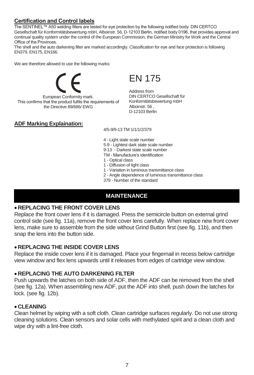#### **Certification and Control labels**

The SENTINEL™ A50 welding filters are tested for eye protection by the following notified body: DIN CERTCO Gesellschaft für Konformitätsbewertung mbH, Alboinstr. 56, D-12103 Berlin, notified body 0196, that provides approval and continual quality system under the control of the European Commission, the German Ministry for Work and the Central Office of the Provinces.

The shell and the auto darkening filter are marked accordingly. Classification for eye and face protection is following EN379, EN175, EN166.

We are therefore allowed to use the following marks:



European Conformity mark. This confirms that the product fulfils the requirements of the Directive 89/686/ EWG

EN 175

Address from DIN CERTCO Gesellschaft für Konformitätsbewertung mbH Alboinstr. 56 , D-12103 Berlin

#### **ADF Marking Explaination:**

4/5-9/9-13 TM 1/1/1/2/379

4 - Light state scale number

- 5-9 Lightest dark state scale number
- 9-13 Darkest state scale number
- TM Manufacture's identification
- 1 Optical class
- 1 Diffusion of light class
- 1 Variation in luminous transmittance class
- 2 Angle dependence of luminous transmittance class
- 379 Number of the standard

#### **MAINTENANCE**

#### • **REPLACING THE FRONT COVER LENS**

Replace the front cover lens if it is damaged. Press the semicircle button on external grind control side (see fig. 11a), remove the front cover lens carefully. When replace new front cover lens, make sure to assemble from the side without Grind Button first (see fig. 11b), and then snap the lens into the button side.

#### • **REPLACING THE INSIDE COVER LENS**

Replace the inside cover lens if it is damaged. Place your fingernail in recess below cartridge view window and flex lens upwards until it releases from edges of cartridge view window.

#### • **REPLACING THE AUTO DARKENING FILTER**

Push upwards the latches on both side of ADF, then the ADF can be removed from the shell (see fig. 12a). When assembling new ADF, put the ADF into shell, push down the latches for lock. (see fig. 12b).

#### • **CLEANING**

Clean helmet by wiping with a soft cloth. Clean cartridge surfaces regularly. Do not use strong cleaning solutions. Clean sensors and solar cells with methylated spirit and a clean cloth and wipe dry with a lint-free cloth.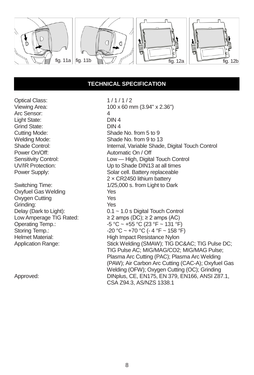

#### **TECHNICAL SPECIFICATION**

Optical Class: 1/1/1/2<br>Viewing Area: 100 x 60 m Arc Sensor: 4<br>
Light State: 5.000 DIN 4 Light State: DIN 4 Grind State:<br>Cutting Mode:

Oxyfuel Gas Welding The Mess (Yes)<br>The Oxygen Cutting The Mess (Yes) Oxygen Cutting The Yes<br>
Crinding: The Yes Grinding:<br>Delay (Dark to Light):

 $100 \times 60$  mm  $(3.94" \times 2.36")$ <br>4 Cutting Mode: Shade No. from 5 to 9<br>
Welding Mode: Shade No. from 9 to 1 Welding Mode: Shade No. from 9 to 13<br>Shade Control: Shade Internal, Variable Shade Shade Control: Internal, Variable Shade, Digital Touch Control<br>Power On/Off: **Internal** Automatic On / Off Power On/Off: <br>
Sensitivity Control: 
Sensitivity Control: 
Automatic On / Off Sensitivity Control: <br>
Unity a Up to Shade DIN13 at all times<br>
Up to Shade DIN13 at all times UV/IR Protection: Up to Shade DIN13 at all times Solar cell. Battery replaceable 2 × CR2450 lithium battery Switching Time:  $\frac{1}{25,000}$  s. from Light to Dark<br>Oxyfuel Gas Welding Yes Delay (Dark to Light): 0.1 ~ 1.0 s Digital Touch Control<br>
Low Amperage TIG Rated: ≥ 2 amps (DC); ≥ 2 amps (AC) Low Amperage TIG Rated:  $≥ 2$  amps (DC);  $≥ 2$  amps (AC)<br>Operating Temp.:  $-5 °C ~ +55 °C$  (23 °F ~ 131 °F Operating Temp.:  $-5 \,^{\circ}\text{C} \sim +55 \,^{\circ}\text{C}$  (23 °F ~ 131 °F)<br>Storing Temp.:  $-20 \,^{\circ}\text{C} \sim +70 \,^{\circ}\text{C}$  (- 4 °F ~ 158 °F Storing Temp.:  $-20 °C \sim +70 °C$  (- 4 °F ~ 158 °F)<br>Helmet Material: High Impact Resistance Nylon Helmet Material: High Impact Resistance Nylon<br>Application Range: Stick Welding (SMAW); TIG DO Stick Welding (SMAW); TIG DC∾ TIG Pulse DC; TIG Pulse AC; MIG/MAG/CO2; MIG/MAG Pulse; Plasma Arc Cutting (PAC); Plasma Arc Welding (PAW); Air Carbon Arc Cutting (CAC-A); Oxyfuel Gas Welding (OFW); Oxygen Cutting (OC); Grinding Approved: DINplus, CE, EN175, EN 379, EN166, ANSI Z87.1, CSA Z94.3, AS/NZS 1338.1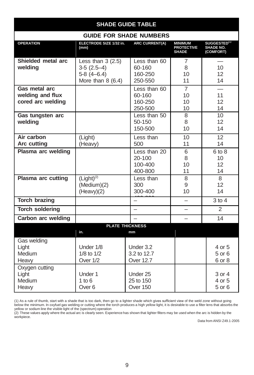| <b>SHADE GUIDE TABLE</b>                               |                                                                          |                                              |                                                     |                                                           |  |  |
|--------------------------------------------------------|--------------------------------------------------------------------------|----------------------------------------------|-----------------------------------------------------|-----------------------------------------------------------|--|--|
| <b>GUIDE FOR SHADE NUMBERS</b>                         |                                                                          |                                              |                                                     |                                                           |  |  |
| <b>OPERATION</b>                                       | ELECTRODE SIZE 1/32 in.<br>(mm)                                          | <b>ARC CURRENT(A)</b>                        | <b>MINIMUM</b><br><b>PROTECTIVE</b><br><b>SHADE</b> | SUGGESTED <sup>(1)</sup><br><b>SHADE NO.</b><br>(COMFORT) |  |  |
| Shielded metal arc<br>welding                          | Less than $3(2.5)$<br>$3-5(2.5-4)$<br>$5-8(4-6.4)$<br>More than $8(6.4)$ | Less than 60<br>60-160<br>160-250<br>250-550 | 7<br>8<br>10<br>11                                  | 10<br>12<br>14                                            |  |  |
| Gas metal arc<br>welding and flux<br>cored arc welding |                                                                          | Less than 60<br>60-160<br>160-250<br>250-500 | $\overline{7}$<br>10<br>10<br>10                    | 11<br>12<br>14                                            |  |  |
| Gas tungsten arc<br>welding                            |                                                                          | Less than 50<br>$50-150$<br>150-500          | 8<br>8<br>10                                        | 10<br>12 <sup>2</sup><br>14                               |  |  |
| Air carbon<br><b>Arc cutting</b>                       | (Light)<br>(Heavy)                                                       | Less than<br>500                             | 10<br>11                                            | 12<br>14                                                  |  |  |
| Plasma arc welding                                     |                                                                          | Less than 20<br>20-100<br>100-400<br>400-800 | 6<br>8<br>10<br>11                                  | $6$ to $8$<br>10<br>12<br>14                              |  |  |
| <b>Plasma arc cutting</b>                              | $(Light)^{(2)}$<br>(Medium)(2)<br>(Heavy)(2)                             | Less than<br>300<br>300-400                  | 8<br>9<br>10                                        | 8<br>12<br>14                                             |  |  |
| <b>Torch brazing</b>                                   |                                                                          |                                              |                                                     | $3$ to $4$                                                |  |  |
| <b>Torch soldering</b>                                 |                                                                          | $\overline{\phantom{0}}$                     |                                                     | 2                                                         |  |  |
| Carbon arc welding                                     |                                                                          |                                              |                                                     | 14                                                        |  |  |
| <b>PLATE THICKNESS</b><br>in.<br>mm                    |                                                                          |                                              |                                                     |                                                           |  |  |
| Gas welding<br>Light<br>Medium<br>Heavy                | Under 1/8<br>$1/8$ to $1/2$<br>Over 1/2                                  | Under 3.2<br>3.2 to 12.7<br><b>Over 12.7</b> |                                                     | 4 or 5<br>$5$ or $6$<br>6 or 8                            |  |  |
| Oxygen cutting<br>Light<br>Medium<br>Heavy             | Under 1<br>1 to $6$<br>Over <sub>6</sub>                                 | Under 25<br>25 to 150<br>Over 150            |                                                     | 3 or 4<br>4 or 5<br>5 or 6                                |  |  |

(1) As a rule of thumb, start with a shade that is too dark, then go to a lighter shade which gives sufficient view of the weld zone without going<br>below the minimum. In oxyfuel gas welding or cutting where the torch produc

yellow or sodium line the visible light of the (spectrum) operation (2) These values apply where the actual arc is clearly seen. Experience has shown that lighter filters may be used when the arc is hidden by the workpiece.

Data from ANSI Z49.1-2005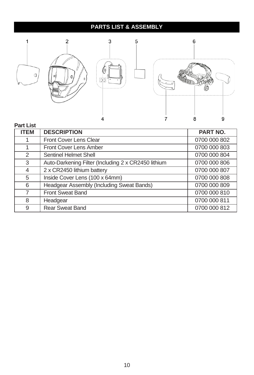## **PARTS LIST & ASSEMBLY**



#### **Part List**

| <b>ITEM</b> | <b>DESCRIPTION</b>                                  | <b>PART NO.</b> |
|-------------|-----------------------------------------------------|-----------------|
|             | <b>Front Cover Lens Clear</b>                       | 0700 000 802    |
| 1           | <b>Front Cover Lens Amber</b>                       | 0700 000 803    |
| 2           | Sentinel Helmet Shell                               | 0700 000 804    |
| 3           | Auto-Darkening Filter (Including 2 x CR2450 lithium | 0700 000 806    |
| 4           | 2 x CR2450 lithium battery                          | 0700 000 807    |
| 5           | Inside Cover Lens (100 x 64mm)                      | 0700 000 808    |
| 6           | Headgear Assembly (Including Sweat Bands)           | 0700 000 809    |
| 7           | <b>Front Sweat Band</b>                             | 0700 000 810    |
| 8           | Headgear                                            | 0700 000 811    |
| 9           | Rear Sweat Band                                     | 0700 000 812    |